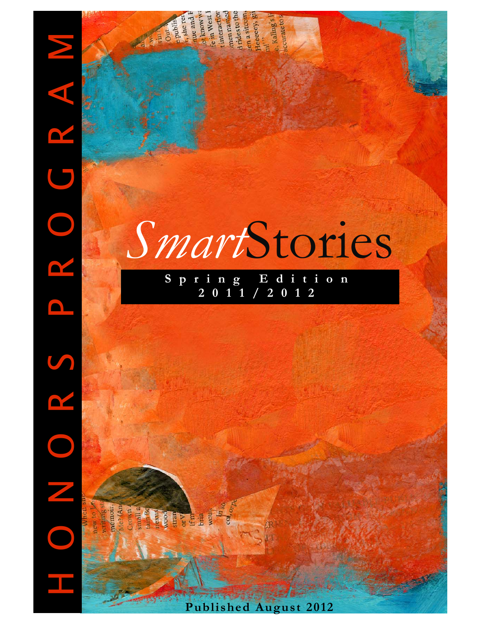## *Smart*Stories

Kaling

Out of sheriff the published of the and and control of the public state of the state of the state of the state of the state of the state of the state of the state of the state of the state of the state of the state of the

**Spring Edition 2011/2012** 

**Published August 2012** 

sin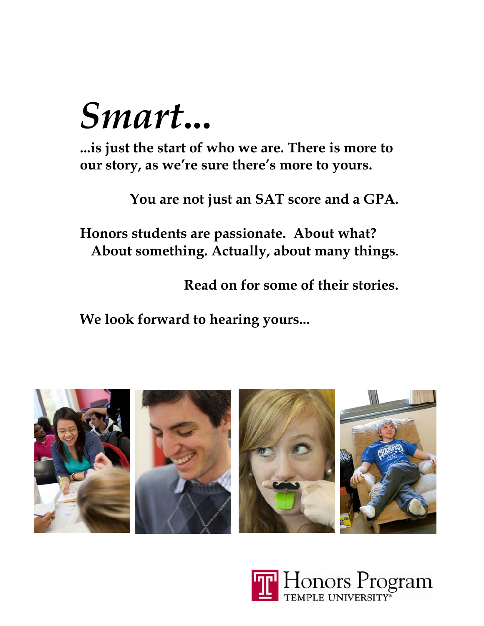### *Smart***...**

**...is just the start of who we are. There is more to our story, as we're sure there's more to yours.** 

**You are not just an SAT score and a GPA.** 

**Honors students are passionate. About what? About something. Actually, about many things.** 

**Read on for some of their stories.** 

**We look forward to hearing yours...** 



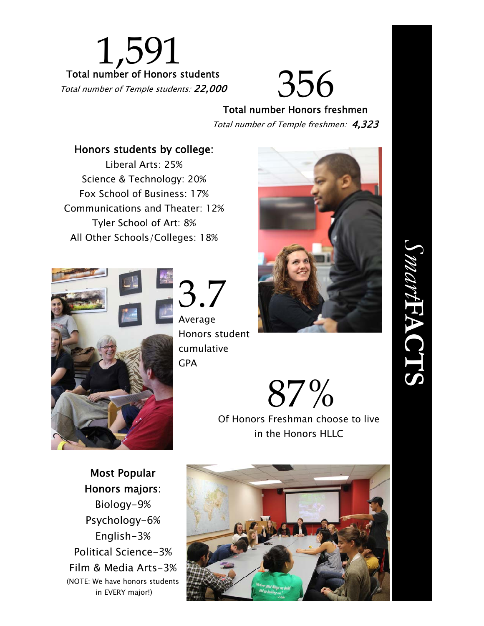

## 356

Total number Honors freshmen Total number of Temple freshmen: 4,323

#### Honors students by college:

Liberal Arts: 25% Science & Technology: 20% Fox School of Business: 17% Communications and Theater: 12% Tyler School of Art: 8% All Other Schools/Colleges: 18%



3.7 Average Honors student cumulative **GPA** 





Of Honors Freshman choose to live in the Honors HLLC

Most Popular Honors majors: Biology-9% Psychology-6% English-3% Political Science-3% Film & Media Arts-3% (NOTE: We have honors students in EVERY major!)



## *Smart***FACTS UNEACTS**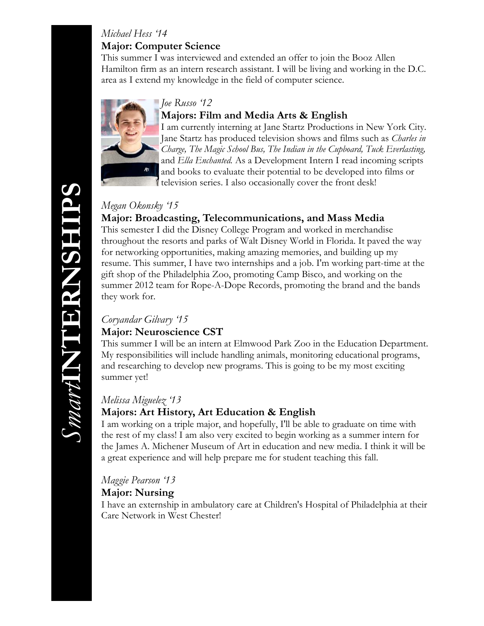#### *Michael Hess '14*

#### **Major: Computer Science**

This summer I was interviewed and extended an offer to join the Booz Allen Hamilton firm as an intern research assistant. I will be living and working in the D.C. area as I extend my knowledge in the field of computer science.



#### *Joe Russo '12*  **Majors: Film and Media Arts & English**

I am currently interning at Jane Startz Productions in New York City. Jane Startz has produced television shows and films such as *Charles in Charge, The Magic School Bus, The Indian in the Cupboard, Tuck Everlasting,*  and *Ella Enchanted.* As a Development Intern I read incoming scripts and books to evaluate their potential to be developed into films or television series. I also occasionally cover the front desk!

#### *Megan Okonsky '15*

#### **Major: Broadcasting, Telecommunications, and Mass Media**

This semester I did the Disney College Program and worked in merchandise throughout the resorts and parks of Walt Disney World in Florida. It paved the way for networking opportunities, making amazing memories, and building up my resume. This summer, I have two internships and a job. I'm working part-time at the gift shop of the Philadelphia Zoo, promoting Camp Bisco, and working on the summer 2012 team for Rope-A-Dope Records, promoting the brand and the bands they work for.

#### *Coryandar Gilvary '15*

#### **Major: Neuroscience CST**

This summer I will be an intern at Elmwood Park Zoo in the Education Department. My responsibilities will include handling animals, monitoring educational programs, and researching to develop new programs. This is going to be my most exciting summer yet!

#### *Melissa Miguelez '13*

#### **Majors: Art History, Art Education & English**

I am working on a triple major, and hopefully, I'll be able to graduate on time with the rest of my class! I am also very excited to begin working as a summer intern for the James A. Michener Museum of Art in education and new media. I think it will be a great experience and will help prepare me for student teaching this fall.

#### *Maggie Pearson '13*

#### **Major: Nursing**

I have an externship in ambulatory care at Children's Hospital of Philadelphia at their Care Network in West Chester!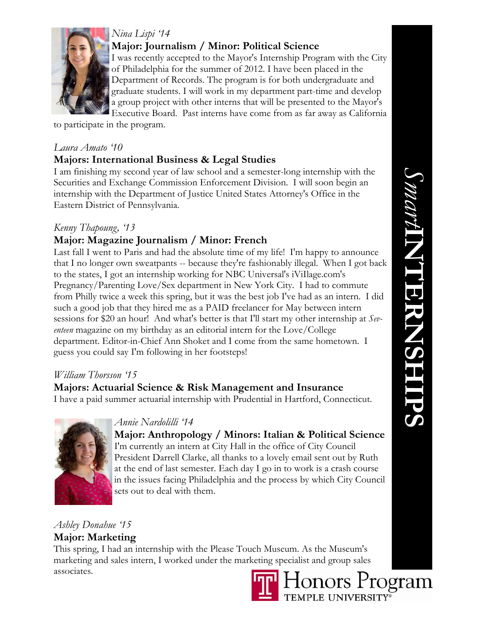

#### *Nina Lispi '14*  **Major: Journalism / Minor: Political Science**

I was recently accepted to the Mayor's Internship Program with the City of Philadelphia for the summer of 2012. I have been placed in the Department of Records. The program is for both undergraduate and graduate students. I will work in my department part-time and develop a group project with other interns that will be presented to the Mayor's Executive Board. Past interns have come from as far away as California

to participate in the program.

#### *Laura Amato '10*

#### **Majors: International Business & Legal Studies**

I am finishing my second year of law school and a semester-long internship with the Securities and Exchange Commission Enforcement Division. I will soon begin an internship with the Department of Justice United States Attorney's Office in the Eastern District of Pennsylvania.

#### *Kenny Thapoung, '13*

#### **Major: Magazine Journalism / Minor: French**

Last fall I went to Paris and had the absolute time of my life! I'm happy to announce that I no longer own sweatpants -- because they're fashionably illegal. When I got back to the states, I got an internship working for NBC Universal's iViIlage.com's Pregnancy/Parenting Love/Sex department in New York City. I had to commute from Philly twice a week this spring, but it was the best job I've had as an intern. I did such a good job that they hired me as a PAID freelancer for May between intern sessions for \$20 an hour! And what's better is that I'll start my other internship at *Seventeen* magazine on my birthday as an editorial intern for the Love/College department. Editor-in-Chief Ann Shoket and I come from the same hometown. I guess you could say I'm following in her footsteps!

#### *William Thorsson '15*

#### **Majors: Actuarial Science & Risk Management and Insurance**

I have a paid summer actuarial internship with Prudential in Hartford, Connecticut.



#### *Annie Nardolilli '14*

**Major: Anthropology / Minors: Italian & Political Science**  I'm currently an intern at City Hall in the office of City Council President Darrell Clarke, all thanks to a lovely email sent out by Ruth at the end of last semester. Each day I go in to work is a crash course in the issues facing Philadelphia and the process by which City Council sets out to deal with them.

#### *Ashley Donahue '15*

**Major: Marketing** 

This spring, I had an internship with the Please Touch Museum. As the Museum's marketing and sales intern, I worked under the marketing specialist and group sales associates.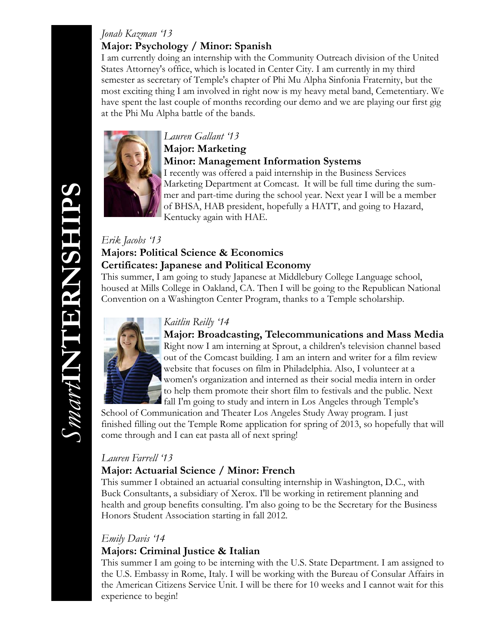#### *Jonah Kazman '13*  **Major: Psychology / Minor: Spanish**

I am currently doing an internship with the Community Outreach division of the United States Attorney's office, which is located in Center City. I am currently in my third semester as secretary of Temple's chapter of Phi Mu Alpha Sinfonia Fraternity, but the most exciting thing I am involved in right now is my heavy metal band, Cemetentiary. We have spent the last couple of months recording our demo and we are playing our first gig at the Phi Mu Alpha battle of the bands.



#### *Lauren Gallant '13*

#### **Major: Marketing Minor: Management Information Systems**

I recently was offered a paid internship in the Business Services Marketing Department at Comcast. It will be full time during the summer and part-time during the school year. Next year I will be a member of BHSA, HAB president, hopefully a HATT, and going to Hazard, Kentucky again with HAE.

#### *Erik Jacobs '13*

#### **Majors: Political Science & Economics Certificates: Japanese and Political Economy**

This summer, I am going to study Japanese at Middlebury College Language school, housed at Mills College in Oakland, CA. Then I will be going to the Republican National Convention on a Washington Center Program, thanks to a Temple scholarship.



#### *Kaitlin Reilly '14*

#### **Major: Broadcasting, Telecommunications and Mass Media**

Right now I am interning at Sprout, a children's television channel based out of the Comcast building. I am an intern and writer for a film review website that focuses on film in Philadelphia. Also, I volunteer at a women's organization and interned as their social media intern in order to help them promote their short film to festivals and the public. Next fall I'm going to study and intern in Los Angeles through Temple's

School of Communication and Theater Los Angeles Study Away program. I just finished filling out the Temple Rome application for spring of 2013, so hopefully that will come through and I can eat pasta all of next spring!

#### *Lauren Farrell '13*

#### **Major: Actuarial Science / Minor: French**

This summer I obtained an actuarial consulting internship in Washington, D.C., with Buck Consultants, a subsidiary of Xerox. I'll be working in retirement planning and health and group benefits consulting. I'm also going to be the Secretary for the Business Honors Student Association starting in fall 2012.

#### *Emily Davis '14*

#### **Majors: Criminal Justice & Italian**

This summer I am going to be interning with the U.S. State Department. I am assigned to the U.S. Embassy in Rome, Italy. I will be working with the Bureau of Consular Affairs in the American Citizens Service Unit. I will be there for 10 weeks and I cannot wait for this experience to begin!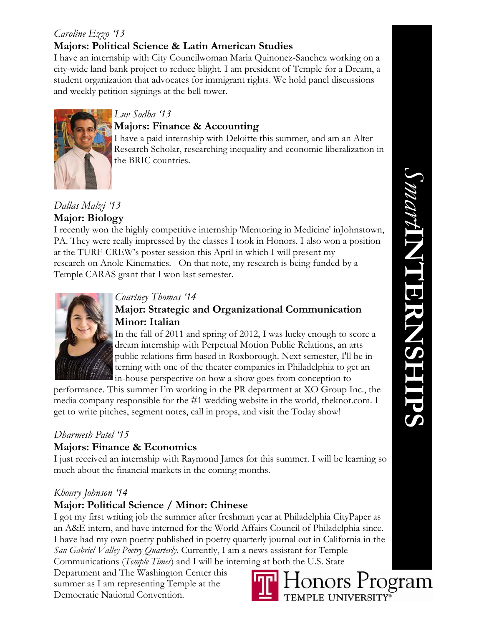#### *Caroline Ezzo '13*

#### **Majors: Political Science & Latin American Studies**

I have an internship with City Councilwoman Maria Quinonez-Sanchez working on a city-wide land bank project to reduce blight. I am president of Temple for a Dream, a student organization that advocates for immigrant rights. We hold panel discussions and weekly petition signings at the bell tower.



#### *Luv Sodha '13*

#### **Majors: Finance & Accounting**

I have a paid internship with Deloitte this summer, and am an Alter Research Scholar, researching inequality and economic liberalization in the BRIC countries.

#### *Dallas Malzi '13*  **Major: Biology**

I recently won the highly competitive internship 'Mentoring in Medicine' inJohnstown, PA. They were really impressed by the classes I took in Honors. I also won a position at the TURF-CREW's poster session this April in which I will present my research on Anole Kinematics. On that note, my research is being funded by a Temple CARAS grant that I won last semester.



#### *Courtney Thomas '14*

#### **Major: Strategic and Organizational Communication Minor: Italian**

In the fall of 2011 and spring of 2012, I was lucky enough to score a dream internship with Perpetual Motion Public Relations, an arts public relations firm based in Roxborough. Next semester, I'll be interning with one of the theater companies in Philadelphia to get an in-house perspective on how a show goes from conception to

performance. This summer I'm working in the PR department at XO Group Inc., the media company responsible for the #1 wedding website in the world, theknot.com. I get to write pitches, segment notes, call in props, and visit the Today show!

#### *Dharmesh Patel '15*

#### **Majors: Finance & Economics**

I just received an internship with Raymond James for this summer. I will be learning so much about the financial markets in the coming months.

#### *Khoury Johnson '14*

#### **Major: Political Science / Minor: Chinese**

I got my first writing job the summer after freshman year at Philadelphia CityPaper as an A&E intern, and have interned for the World Affairs Council of Philadelphia since. I have had my own poetry published in poetry quarterly journal out in California in the *San Gabriel Valley Poetry Quarterly*. Currently, I am a news assistant for Temple Communications (*Temple Times*) and I will be interning at both the U.S. State

Department and The Washington Center this summer as I am representing Temple at the Democratic National Convention.

# *Smart***INTERNSHIPSMANTINITIERNSHIPS**

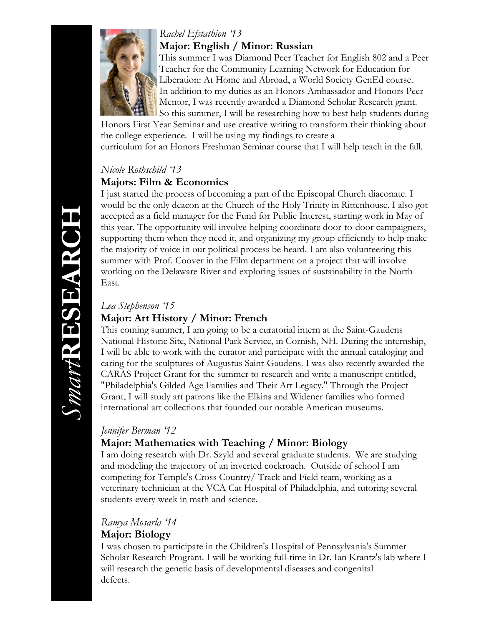

#### *Rachel Efstathion '13*

**Major: English / Minor: Russian** 

This summer I was Diamond Peer Teacher for English 802 and a Peer Teacher for the Community Learning Network for Education for Liberation: At Home and Abroad, a World Society GenEd course. In addition to my duties as an Honors Ambassador and Honors Peer Mentor, I was recently awarded a Diamond Scholar Research grant. So this summer, I will be researching how to best help students during

Honors First Year Seminar and use creative writing to transform their thinking about the college experience. I will be using my findings to create a curriculum for an Honors Freshman Seminar course that I will help teach in the fall.

#### *Nicole Rothschild '13*

#### **Majors: Film & Economics**

I just started the process of becoming a part of the Episcopal Church diaconate. I would be the only deacon at the Church of the Holy Trinity in Rittenhouse. I also got accepted as a field manager for the Fund for Public Interest, starting work in May of this year. The opportunity will involve helping coordinate door-to-door campaigners, supporting them when they need it, and organizing my group efficiently to help make the majority of voice in our political process be heard. I am also volunteering this summer with Prof. Coover in the Film department on a project that will involve working on the Delaware River and exploring issues of sustainability in the North East.

#### *Lea Stephenson '15*

#### **Major: Art History / Minor: French**

This coming summer, I am going to be a curatorial intern at the Saint-Gaudens National Historic Site, National Park Service, in Cornish, NH. During the internship, I will be able to work with the curator and participate with the annual cataloging and caring for the sculptures of Augustus Saint-Gaudens. I was also recently awarded the CARAS Project Grant for the summer to research and write a manuscript entitled, "Philadelphia's Gilded Age Families and Their Art Legacy." Through the Project Grant, I will study art patrons like the Elkins and Widener families who formed international art collections that founded our notable American museums.

#### *Jennifer Berman '12*

#### **Major: Mathematics with Teaching / Minor: Biology**

I am doing research with Dr. Szyld and several graduate students. We are studying and modeling the trajectory of an inverted cockroach. Outside of school I am competing for Temple's Cross Country/ Track and Field team, working as a veterinary technician at the VCA Cat Hospital of Philadelphia, and tutoring several students every week in math and science.

#### *Ramya Mosarla '14*

#### **Major: Biology**

I was chosen to participate in the Children's Hospital of Pennsylvania's Summer Scholar Research Program. I will be working full-time in Dr. Ian Krantz's lab where I will research the genetic basis of developmental diseases and congenital defects.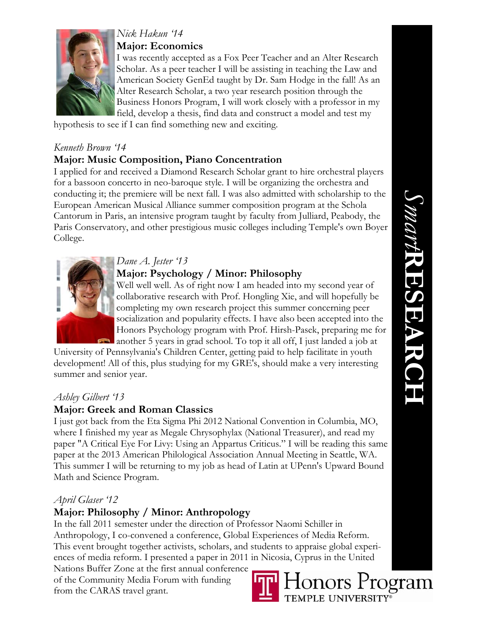

#### *Nick Hakun '14*

**Major: Economics** 

I was recently accepted as a Fox Peer Teacher and an Alter Research Scholar. As a peer teacher I will be assisting in teaching the Law and American Society GenEd taught by Dr. Sam Hodge in the fall! As an Alter Research Scholar, a two year research position through the Business Honors Program, I will work closely with a professor in my field, develop a thesis, find data and construct a model and test my

hypothesis to see if I can find something new and exciting.

#### *Kenneth Brown '14*

#### **Major: Music Composition, Piano Concentration**

I applied for and received a Diamond Research Scholar grant to hire orchestral players for a bassoon concerto in neo-baroque style. I will be organizing the orchestra and conducting it; the premiere will be next fall. I was also admitted with scholarship to the European American Musical Alliance summer composition program at the Schola Cantorum in Paris, an intensive program taught by faculty from Julliard, Peabody, the Paris Conservatory, and other prestigious music colleges including Temple's own Boyer College.



#### *Dane A. Jester '13*

#### **Major: Psychology / Minor: Philosophy**

Well well well. As of right now I am headed into my second year of collaborative research with Prof. Hongling Xie, and will hopefully be completing my own research project this summer concerning peer socialization and popularity effects. I have also been accepted into the Honors Psychology program with Prof. Hirsh-Pasek, preparing me for another 5 years in grad school. To top it all off, I just landed a job at

University of Pennsylvania's Children Center, getting paid to help facilitate in youth development! All of this, plus studying for my GRE's, should make a very interesting summer and senior year.

#### *Ashley Gilbert '13*

#### **Major: Greek and Roman Classics**

I just got back from the Eta Sigma Phi 2012 National Convention in Columbia, MO, where I finished my year as Megale Chrysophylax (National Treasurer), and read my paper "A Critical Eye For Livy: Using an Appartus Criticus." I will be reading this same paper at the 2013 American Philological Association Annual Meeting in Seattle, WA. This summer I will be returning to my job as head of Latin at UPenn's Upward Bound Math and Science Program.

#### *April Glaser '12*

#### **Major: Philosophy / Minor: Anthropology**

In the fall 2011 semester under the direction of Professor Naomi Schiller in Anthropology, I co-convened a conference, Global Experiences of Media Reform. This event brought together activists, scholars, and students to appraise global experiences of media reform. I presented a paper in 2011 in Nicosia, Cyprus in the United

Nations Buffer Zone at the first annual conference of the Community Media Forum with funding from the CARAS travel grant.

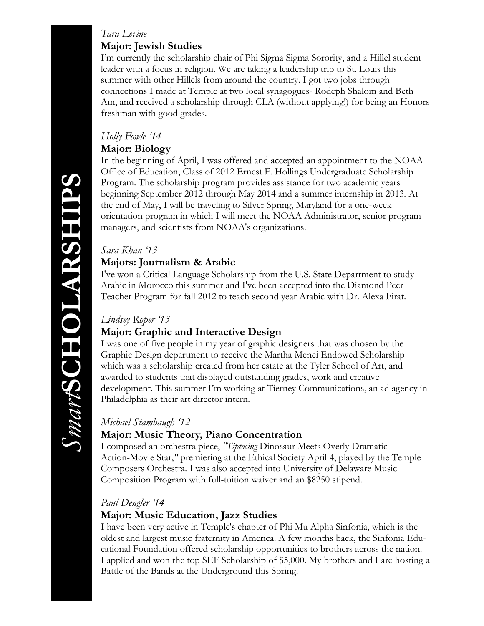#### *Tara Levine*

#### **Major: Jewish Studies**

I'm currently the scholarship chair of Phi Sigma Sigma Sorority, and a Hillel student leader with a focus in religion. We are taking a leadership trip to St. Louis this summer with other Hillels from around the country. I got two jobs through connections I made at Temple at two local synagogues- Rodeph Shalom and Beth Am, and received a scholarship through CLA (without applying!) for being an Honors freshman with good grades.

#### *Holly Fowle '14*

#### **Major: Biology**

In the beginning of April, I was offered and accepted an appointment to the NOAA Office of Education, Class of 2012 Ernest F. Hollings Undergraduate Scholarship Program. The scholarship program provides assistance for two academic years beginning September 2012 through May 2014 and a summer internship in 2013. At the end of May, I will be traveling to Silver Spring, Maryland for a one-week orientation program in which I will meet the NOAA Administrator, senior program managers, and scientists from NOAA's organizations.

#### *Sara Khan '13*

#### **Majors: Journalism & Arabic**

I've won a Critical Language Scholarship from the U.S. State Department to study Arabic in Morocco this summer and I've been accepted into the Diamond Peer Teacher Program for fall 2012 to teach second year Arabic with Dr. Alexa Firat.

#### *Lindsey Roper '13*

#### **Major: Graphic and Interactive Design**

I was one of five people in my year of graphic designers that was chosen by the Graphic Design department to receive the Martha Menei Endowed Scholarship which was a scholarship created from her estate at the Tyler School of Art, and awarded to students that displayed outstanding grades, work and creative development. This summer I'm working at Tierney Communications, an ad agency in Philadelphia as their art director intern.

#### *Michael Stambaugh '12*

#### **Major: Music Theory, Piano Concentration**

I composed an orchestra piece, *"Tiptoeing* Dinosaur Meets Overly Dramatic Action-Movie Star,*"* premiering at the Ethical Society April 4, played by the Temple Composers Orchestra. I was also accepted into University of Delaware Music Composition Program with full-tuition waiver and an \$8250 stipend.

#### *Paul Dengler '14*

#### **Major: Music Education, Jazz Studies**

I have been very active in Temple's chapter of Phi Mu Alpha Sinfonia, which is the oldest and largest music fraternity in America. A few months back, the Sinfonia Educational Foundation offered scholarship opportunities to brothers across the nation. I applied and won the top SEF Scholarship of \$5,000. My brothers and I are hosting a Battle of the Bands at the Underground this Spring.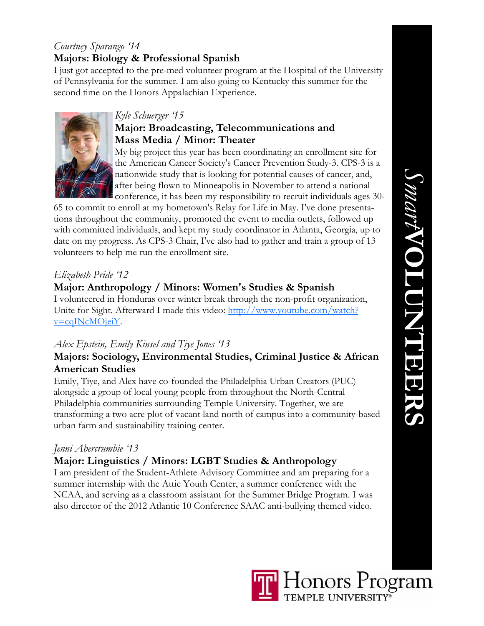#### *Courtney Sparango '14*

#### **Majors: Biology & Professional Spanish**

I just got accepted to the pre-med volunteer program at the Hospital of the University of Pennsylvania for the summer. I am also going to Kentucky this summer for the second time on the Honors Appalachian Experience.



#### *Kyle Schuerger '15*

#### **Major: Broadcasting, Telecommunications and Mass Media / Minor: Theater**

My big project this year has been coordinating an enrollment site for the American Cancer Society's Cancer Prevention Study-3. CPS-3 is a nationwide study that is looking for potential causes of cancer, and, after being flown to Minneapolis in November to attend a national conference, it has been my responsibility to recruit individuals ages 30-

65 to commit to enroll at my hometown's Relay for Life in May. I've done presentations throughout the community, promoted the event to media outlets, followed up with committed individuals, and kept my study coordinator in Atlanta, Georgia, up to date on my progress. As CPS-3 Chair, I've also had to gather and train a group of 13 volunteers to help me run the enrollment site.

#### *Elizabeth Pride '12*

#### **Major: Anthropology / Minors: Women's Studies & Spanish**

I volunteered in Honduras over winter break through the non-profit organization, Unite for Sight. Afterward I made this video: http://www.youtube.com/watch? v=cqINcMOjeiY.

#### *Alex Epstein, Emily Kinsel and Tiye Jones '13*

#### **Majors: Sociology, Environmental Studies, Criminal Justice & African American Studies**

Emily, Tiye, and Alex have co-founded the Philadelphia Urban Creators (PUC) alongside a group of local young people from throughout the North-Central Philadelphia communities surrounding Temple University. Together, we are transforming a two acre plot of vacant land north of campus into a community-based urban farm and sustainability training center.

#### *Jenni Abercrumbie '13*

#### **Major: Linguistics / Minors: LGBT Studies & Anthropology**

I am president of the Student-Athlete Advisory Committee and am preparing for a summer internship with the Attic Youth Center, a summer conference with the NCAA, and serving as a classroom assistant for the Summer Bridge Program. I was also director of the 2012 Atlantic 10 Conference SAAC anti-bullying themed video.

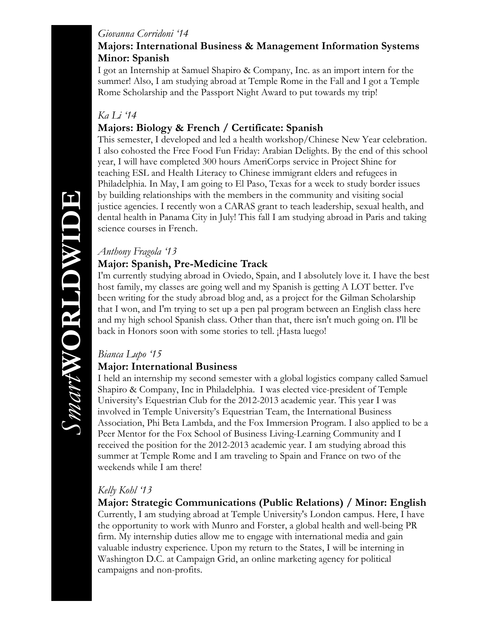#### *Giovanna Corridoni '14*

#### **Majors: International Business & Management Information Systems Minor: Spanish**

I got an Internship at Samuel Shapiro & Company, Inc. as an import intern for the summer! Also, I am studying abroad at Temple Rome in the Fall and I got a Temple Rome Scholarship and the Passport Night Award to put towards my trip!

#### *Ka Li '14*

#### **Majors: Biology & French / Certificate: Spanish**

This semester, I developed and led a health workshop/Chinese New Year celebration. I also cohosted the Free Food Fun Friday: Arabian Delights. By the end of this school year, I will have completed 300 hours AmeriCorps service in Project Shine for teaching ESL and Health Literacy to Chinese immigrant elders and refugees in Philadelphia. In May, I am going to El Paso, Texas for a week to study border issues by building relationships with the members in the community and visiting social justice agencies. I recently won a CARAS grant to teach leadership, sexual health, and dental health in Panama City in July! This fall I am studying abroad in Paris and taking science courses in French.

#### *Anthony Fragola '13*

#### **Major: Spanish, Pre-Medicine Track**

I'm currently studying abroad in Oviedo, Spain, and I absolutely love it. I have the best host family, my classes are going well and my Spanish is getting A LOT better. I've been writing for the study abroad blog and, as a project for the Gilman Scholarship that I won, and I'm trying to set up a pen pal program between an English class here and my high school Spanish class. Other than that, there isn't much going on. I'll be back in Honors soon with some stories to tell. ¡Hasta luego!

#### *Bianca Lupo '15*

#### **Major: International Business**

I held an internship my second semester with a global logistics company called Samuel Shapiro & Company, Inc in Philadelphia. I was elected vice-president of Temple University's Equestrian Club for the 2012-2013 academic year. This year I was involved in Temple University's Equestrian Team, the International Business Association, Phi Beta Lambda, and the Fox Immersion Program. I also applied to be a Peer Mentor for the Fox School of Business Living-Learning Community and I received the position for the 2012-2013 academic year. I am studying abroad this summer at Temple Rome and I am traveling to Spain and France on two of the weekends while I am there!

#### *Kelly Kohl '13*

#### **Major: Strategic Communications (Public Relations) / Minor: English**

Currently, I am studying abroad at Temple University's London campus. Here, I have the opportunity to work with Munro and Forster, a global health and well-being PR firm. My internship duties allow me to engage with international media and gain valuable industry experience. Upon my return to the States, I will be interning in Washington D.C. at Campaign Grid, an online marketing agency for political campaigns and non-profits.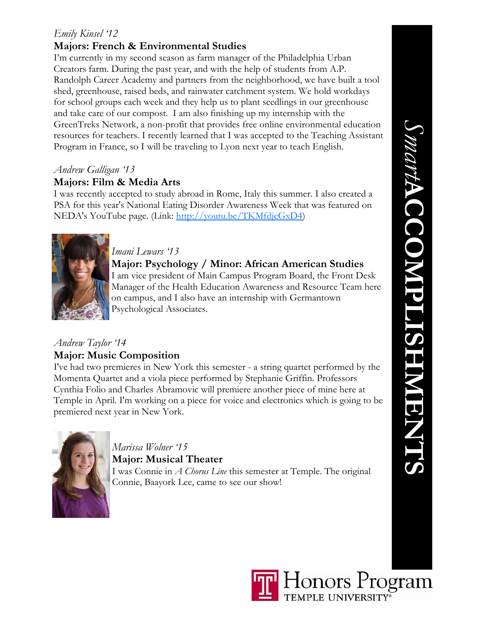#### *Emily Kinsel '12*

#### **Majors: French & Environmental Studies**

I'm currently in my second season as farm manager of the Philadelphia Urban Creators farm. During the past year, and with the help of students from A.P. Randolph Career Academy and partners from the neighborhood, we have built a tool shed, greenhouse, raised beds, and rainwater catchment system. We hold workdays for school groups each week and they help us to plant seedlings in our greenhouse and take care of our compost. I am also finishing up my internship with the GreenTreks Network, a non-profit that provides free online environmental education resources for teachers. I recently learned that I was accepted to the Teaching Assistant Program in France, so I will be traveling to Lyon next year to teach English.

#### *Andrew Galligan '13*

#### **Majors: Film & Media Arts**

I was recently accepted to study abroad in Rome, Italy this summer. I also created a PSA for this year's National Eating Disorder Awareness Week that was featured on NEDA's YouTube page. (Link: http://youtu.be/TKMfdjcGxD4)



#### *Imani Lewars '13*

**Major: Psychology / Minor: African American Studies**  I am vice president of Main Campus Program Board, the Front Desk Manager of the Health Education Awareness and Resource Team here on campus, and I also have an internship with Germantown Psychological Associates.

#### *Andrew Taylor '14*  **Major: Music Composition**

I've had two premieres in New York this semester - a string quartet performed by the Momenta Quartet and a viola piece performed by Stephanie Griffin. Professors Cynthia Folio and Charles Abramovic will premiere another piece of mine here at Temple in April. I'm working on a piece for voice and electronics which is going to be premiered next year in New York.



*Marissa Wolner '15*  **Major: Musical Theater**  I was Connie in *A Chorus Line* this semester at Temple. The original Connie, Baayork Lee, came to see our show!

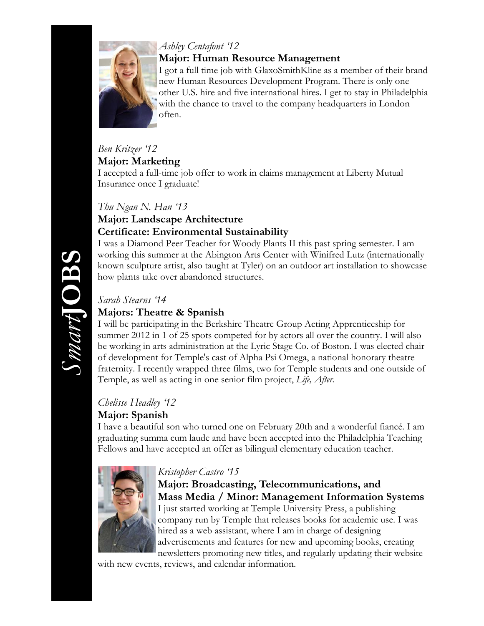

#### *Ashley Centafont '12*

**Major: Human Resource Management** 

I got a full time job with GlaxoSmithKline as a member of their brand new Human Resources Development Program. There is only one other U.S. hire and five international hires. I get to stay in Philadelphia with the chance to travel to the company headquarters in London often.

#### *Ben Kritzer '12*

**Major: Marketing** 

I accepted a full-time job offer to work in claims management at Liberty Mutual Insurance once I graduate!

#### *Thu Ngan N. Han '13*

#### **Major: Landscape Architecture Certificate: Environmental Sustainability**

I was a Diamond Peer Teacher for Woody Plants II this past spring semester. I am working this summer at the Abington Arts Center with Winifred Lutz (internationally known sculpture artist, also taught at Tyler) on an outdoor art installation to showcase how plants take over abandoned structures.

#### *Sarah Stearns '14*

#### **Majors: Theatre & Spanish**

I will be participating in the Berkshire Theatre Group Acting Apprenticeship for summer 2012 in 1 of 25 spots competed for by actors all over the country. I will also be working in arts administration at the Lyric Stage Co. of Boston. I was elected chair of development for Temple's cast of Alpha Psi Omega, a national honorary theatre fraternity. I recently wrapped three films, two for Temple students and one outside of Temple, as well as acting in one senior film project, *Life, After*.

#### *Chelisse Headley '12*

#### **Major: Spanish**

I have a beautiful son who turned one on February 20th and a wonderful fiancé. I am graduating summa cum laude and have been accepted into the Philadelphia Teaching Fellows and have accepted an offer as bilingual elementary education teacher.



#### *Kristopher Castro '15*

**Major: Broadcasting, Telecommunications, and Mass Media / Minor: Management Information Systems**  I just started working at Temple University Press, a publishing company run by Temple that releases books for academic use. I was hired as a web assistant, where I am in charge of designing advertisements and features for new and upcoming books, creating newsletters promoting new titles, and regularly updating their website

with new events, reviews, and calendar information.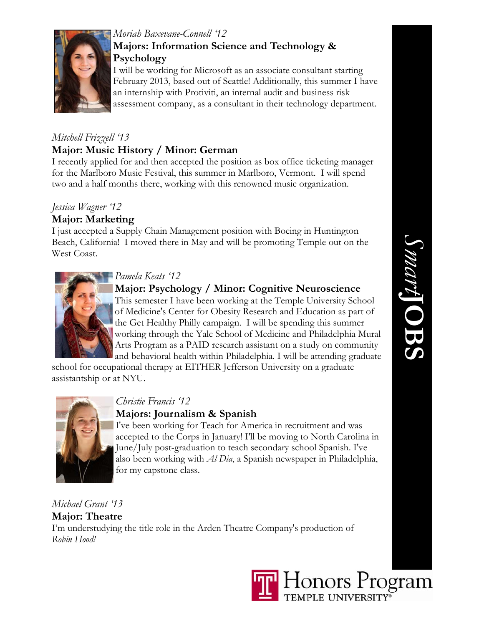

#### *Moriah Baxevane-Connell '12*

#### **Majors: Information Science and Technology & Psychology**

I will be working for Microsoft as an associate consultant starting February 2013, based out of Seattle! Additionally, this summer I have an internship with Protiviti, an internal audit and business risk assessment company, as a consultant in their technology department.

#### *Mitchell Frizzell '13*

#### **Major: Music History / Minor: German**

I recently applied for and then accepted the position as box office ticketing manager for the Marlboro Music Festival, this summer in Marlboro, Vermont. I will spend two and a half months there, working with this renowned music organization.

#### *Jessica Wagner '12*

#### **Major: Marketing**

I just accepted a Supply Chain Management position with Boeing in Huntington Beach, California! I moved there in May and will be promoting Temple out on the West Coast.



#### *Pamela Keats '12*

#### **Major: Psychology / Minor: Cognitive Neuroscience**

This semester I have been working at the Temple University School of Medicine's Center for Obesity Research and Education as part of the Get Healthy Philly campaign. I will be spending this summer working through the Yale School of Medicine and Philadelphia Mural Arts Program as a PAID research assistant on a study on community and behavioral health within Philadelphia. I will be attending graduate

school for occupational therapy at EITHER Jefferson University on a graduate assistantship or at NYU.



#### *Christie Francis '12*

#### **Majors: Journalism & Spanish**

I've been working for Teach for America in recruitment and was accepted to the Corps in January! I'll be moving to North Carolina in June/July post-graduation to teach secondary school Spanish. I've also been working with *Al Dia*, a Spanish newspaper in Philadelphia, for my capstone class.

*Michael Grant '13*  **Major: Theatre**  I'm understudying the title role in the Arden Theatre Company's production of *Robin Hood!*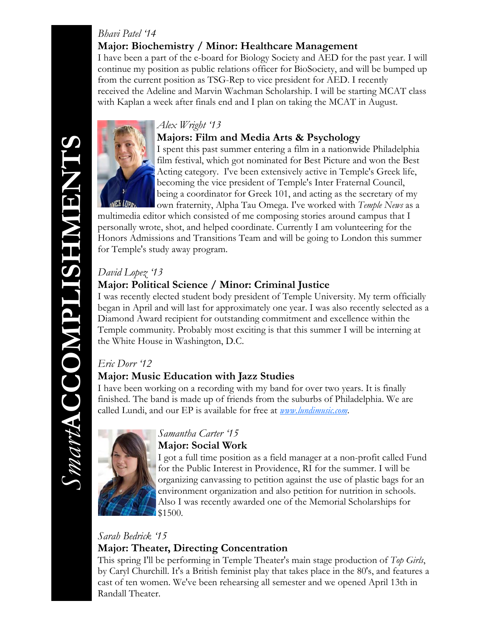#### *Bhavi Patel '14*

#### **Major: Biochemistry / Minor: Healthcare Management**

I have been a part of the e-board for Biology Society and AED for the past year. I will continue my position as public relations officer for BioSociety, and will be bumped up from the current position as TSG-Rep to vice president for AED. I recently received the Adeline and Marvin Wachman Scholarship. I will be starting MCAT class with Kaplan a week after finals end and I plan on taking the MCAT in August.



#### *Alex Wright '13*

#### **Majors: Film and Media Arts & Psychology**

I spent this past summer entering a film in a nationwide Philadelphia film festival, which got nominated for Best Picture and won the Best Acting category. I've been extensively active in Temple's Greek life, becoming the vice president of Temple's Inter Fraternal Council, being a coordinator for Greek 101, and acting as the secretary of my

own fraternity, Alpha Tau Omega. I've worked with *Temple News* as a multimedia editor which consisted of me composing stories around campus that I personally wrote, shot, and helped coordinate. Currently I am volunteering for the Honors Admissions and Transitions Team and will be going to London this summer for Temple's study away program.

#### *David Lopez '13*

#### **Major: Political Science / Minor: Criminal Justice**

I was recently elected student body president of Temple University. My term officially began in April and will last for approximately one year. I was also recently selected as a Diamond Award recipient for outstanding commitment and excellence within the Temple community. Probably most exciting is that this summer I will be interning at the White House in Washington, D.C.

#### *Eric Dorr '12*

#### **Major: Music Education with Jazz Studies**

I have been working on a recording with my band for over two years. It is finally finished. The band is made up of friends from the suburbs of Philadelphia. We are called Lundi, and our EP is available for free at *www.lundimusic.com*.



#### *Samantha Carter '15*

#### **Major: Social Work**

I got a full time position as a field manager at a non-profit called Fund for the Public Interest in Providence, RI for the summer. I will be organizing canvassing to petition against the use of plastic bags for an environment organization and also petition for nutrition in schools. Also I was recently awarded one of the Memorial Scholarships for \$1500.

#### *Sarah Bedrick '15*  **Major: Theater, Directing Concentration**

This spring I'll be performing in Temple Theater's main stage production of *Top Girls*, by Caryl Churchill. It's a British feminist play that takes place in the 80's, and features a cast of ten women. We've been rehearsing all semester and we opened April 13th in Randall Theater.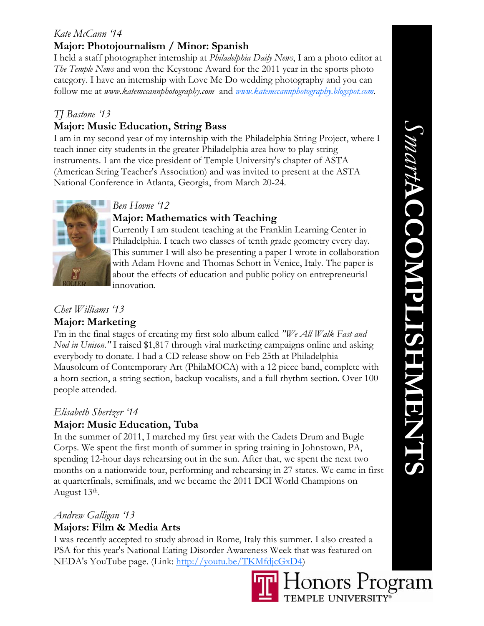#### *Kate McCann '14*

#### **Major: Photojournalism / Minor: Spanish**

I held a staff photographer internship at *Philadelphia Daily News*, I am a photo editor at *The Temple News* and won the Keystone Award for the 2011 year in the sports photo category. I have an internship with Love Me Do wedding photography and you can follow me at *www.katemccannphotography.com* and *www.katemccannphotography.blogspot.com*.

#### *TJ Bastone '13*

#### **Major: Music Education, String Bass**

I am in my second year of my internship with the Philadelphia String Project, where I teach inner city students in the greater Philadelphia area how to play string instruments. I am the vice president of Temple University's chapter of ASTA (American String Teacher's Association) and was invited to present at the ASTA National Conference in Atlanta, Georgia, from March 20-24.



#### *Ben Hovne '12*

#### **Major: Mathematics with Teaching**

Currently I am student teaching at the Franklin Learning Center in Philadelphia. I teach two classes of tenth grade geometry every day. This summer I will also be presenting a paper I wrote in collaboration with Adam Hovne and Thomas Schott in Venice, Italy. The paper is about the effects of education and public policy on entrepreneurial innovation.

#### *Chet Williams '13*  **Major: Marketing**

I'm in the final stages of creating my first solo album called *"We All Walk Fast and Nod in Unison."* I raised \$1,817 through viral marketing campaigns online and asking everybody to donate. I had a CD release show on Feb 25th at Philadelphia Mausoleum of Contemporary Art (PhilaMOCA) with a 12 piece band, complete with a horn section, a string section, backup vocalists, and a full rhythm section. Over 100 people attended.

#### *Elisabeth Shertzer '14*

#### **Major: Music Education, Tuba**

In the summer of 2011, I marched my first year with the Cadets Drum and Bugle Corps. We spent the first month of summer in spring training in Johnstown, PA, spending 12-hour days rehearsing out in the sun. After that, we spent the next two months on a nationwide tour, performing and rehearsing in 27 states. We came in first at quarterfinals, semifinals, and we became the 2011 DCI World Champions on August 13th.

#### *Andrew Galligan '13*

#### **Majors: Film & Media Arts**

I was recently accepted to study abroad in Rome, Italy this summer. I also created a PSA for this year's National Eating Disorder Awareness Week that was featured on NEDA's YouTube page. (Link: http://youtu.be/TKMfdjcGxD4)